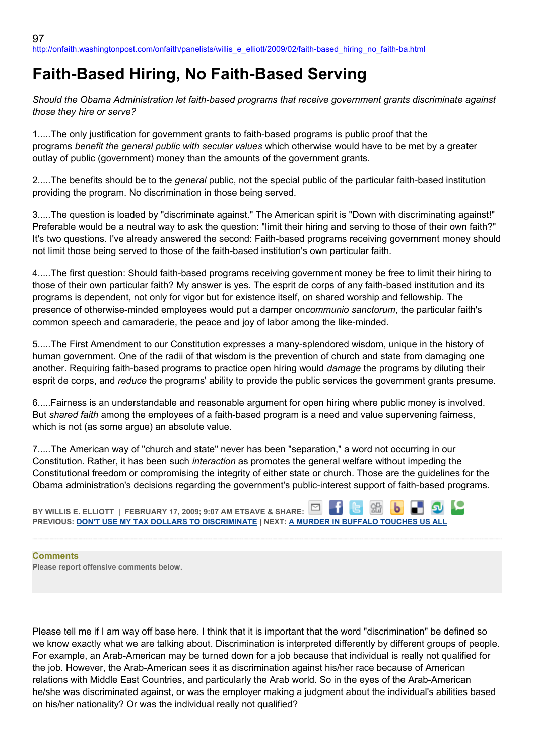## **Faith-Based Hiring, No Faith-Based Serving**

*Should the Obama Administration let faith-based programs that receive government grants discriminate against those they hire or serve?*

1.....The only justification for government grants to faith-based programs is public proof that the programs *benefit the general public with secular values* which otherwise would have to be met by a greater outlay of public (government) money than the amounts of the government grants.

2.....The benefits should be to the *general* public, not the special public of the particular faith-based institution providing the program. No discrimination in those being served.

3.....The question is loaded by "discriminate against." The American spirit is "Down with discriminating against!" Preferable would be a neutral way to ask the question: "limit their hiring and serving to those of their own faith?" It's two questions. I've already answered the second: Faith-based programs receiving government money should not limit those being served to those of the faith-based institution's own particular faith.

4.....The first question: Should faith-based programs receiving government money be free to limit their hiring to those of their own particular faith? My answer is yes. The esprit de corps of any faith-based institution and its programs is dependent, not only for vigor but for existence itself, on shared worship and fellowship. The presence of otherwise-minded employees would put a damper on*communio sanctorum*, the particular faith's common speech and camaraderie, the peace and joy of labor among the like-minded.

5.....The First Amendment to our Constitution expresses a many-splendored wisdom, unique in the history of human government. One of the radii of that wisdom is the prevention of church and state from damaging one another. Requiring faith-based programs to practice open hiring would *damage* the programs by diluting their esprit de corps, and *reduce* the programs' ability to provide the public services the government grants presume.

6.....Fairness is an understandable and reasonable argument for open hiring where public money is involved. But *shared faith* among the employees of a faith-based program is a need and value supervening fairness, which is not (as some argue) an absolute value.

7.....The American way of "church and state" never has been "separation," a word not occurring in our Constitution. Rather, it has been such *interaction* as promotes the general welfare without impeding the Constitutional freedom or compromising the integrity of either state or church. Those are the guidelines for the Obama administration's decisions regarding the government's public-interest support of faith-based programs.

**BY WILLIS E. ELLIOTT | FEBRUARY 17, 2009; 9:07 AM ETSAVE & SHARE: PREVIOUS: [DON'T USE MY TAX DOLLARS TO DISCRIMINATE](http://onfaith.washingtonpost.com/onfaith/panelists/susan_brooks_thistlethwaite/2009/02/dont_use_my_tax_dollars_to_dis.html) | NEXT: [A MURDER IN BUFFALO TOUCHES US ALL](http://onfaith.washingtonpost.com/onfaith/panelists/brad_hirschfield/2009/02/a_murder_in_buffalo_touches_us.html)**

## **Comments**

**Please report offensive comments below.**

Please tell me if I am way off base here. I think that it is important that the word "discrimination" be defined so we know exactly what we are talking about. Discrimination is interpreted differently by different groups of people. For example, an Arab-American may be turned down for a job because that individual is really not qualified for the job. However, the Arab-American sees it as discrimination against his/her race because of American relations with Middle East Countries, and particularly the Arab world. So in the eyes of the Arab-American he/she was discriminated against, or was the employer making a judgment about the individual's abilities based on his/her nationality? Or was the individual really not qualified?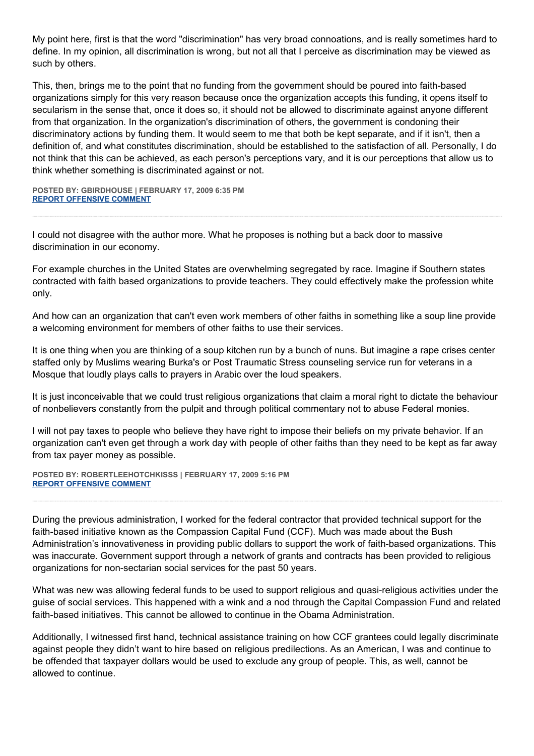My point here, first is that the word "discrimination" has very broad connoations, and is really sometimes hard to define. In my opinion, all discrimination is wrong, but not all that I perceive as discrimination may be viewed as such by others.

This, then, brings me to the point that no funding from the government should be poured into faith-based organizations simply for this very reason because once the organization accepts this funding, it opens itself to secularism in the sense that, once it does so, it should not be allowed to discriminate against anyone different from that organization. In the organization's discrimination of others, the government is condoning their discriminatory actions by funding them. It would seem to me that both be kept separate, and if it isn't, then a definition of, and what constitutes discrimination, should be established to the satisfaction of all. Personally, I do not think that this can be achieved, as each person's perceptions vary, and it is our perceptions that allow us to think whether something is discriminated against or not.

**POSTED BY: GBIRDHOUSE | FEBRUARY 17, 2009 6:35 PM [REPORT OFFENSIVE COMMENT](mailto:blogs@washingtonpost.com?subject=On%20Faith%20Panelists%20Blog%20%20%7C%20%20gbirdhouse%20%20%7C%20%20Faith-Based%20Hiring,%20No%20Faith-Based%20Serving%20%20%7C%20%204601327&body=%0D%0D%0D%0D%0D================%0D?__mode=view%26_type=comment%26id=4601327%26blog_id=618)**

I could not disagree with the author more. What he proposes is nothing but a back door to massive discrimination in our economy.

For example churches in the United States are overwhelming segregated by race. Imagine if Southern states contracted with faith based organizations to provide teachers. They could effectively make the profession white only.

And how can an organization that can't even work members of other faiths in something like a soup line provide a welcoming environment for members of other faiths to use their services.

It is one thing when you are thinking of a soup kitchen run by a bunch of nuns. But imagine a rape crises center staffed only by Muslims wearing Burka's or Post Traumatic Stress counseling service run for veterans in a Mosque that loudly plays calls to prayers in Arabic over the loud speakers.

It is just inconceivable that we could trust religious organizations that claim a moral right to dictate the behaviour of nonbelievers constantly from the pulpit and through political commentary not to abuse Federal monies.

I will not pay taxes to people who believe they have right to impose their beliefs on my private behavior. If an organization can't even get through a work day with people of other faiths than they need to be kept as far away from tax payer money as possible.

**POSTED BY: ROBERTLEEHOTCHKISSS | FEBRUARY 17, 2009 5:16 PM [REPORT OFFENSIVE COMMENT](mailto:blogs@washingtonpost.com?subject=On%20Faith%20Panelists%20Blog%20%20%7C%20%20RobertLeeHotchkisss%20%20%7C%20%20Faith-Based%20Hiring,%20No%20Faith-Based%20Serving%20%20%7C%20%204601318&body=%0D%0D%0D%0D%0D================%0D?__mode=view%26_type=comment%26id=4601318%26blog_id=618)**

During the previous administration, I worked for the federal contractor that provided technical support for the faith-based initiative known as the Compassion Capital Fund (CCF). Much was made about the Bush Administration's innovativeness in providing public dollars to support the work of faith-based organizations. This was inaccurate. Government support through a network of grants and contracts has been provided to religious organizations for non-sectarian social services for the past 50 years.

What was new was allowing federal funds to be used to support religious and quasi-religious activities under the guise of social services. This happened with a wink and a nod through the Capital Compassion Fund and related faith-based initiatives. This cannot be allowed to continue in the Obama Administration.

Additionally, I witnessed first hand, technical assistance training on how CCF grantees could legally discriminate against people they didn't want to hire based on religious predilections. As an American, I was and continue to be offended that taxpayer dollars would be used to exclude any group of people. This, as well, cannot be allowed to continue.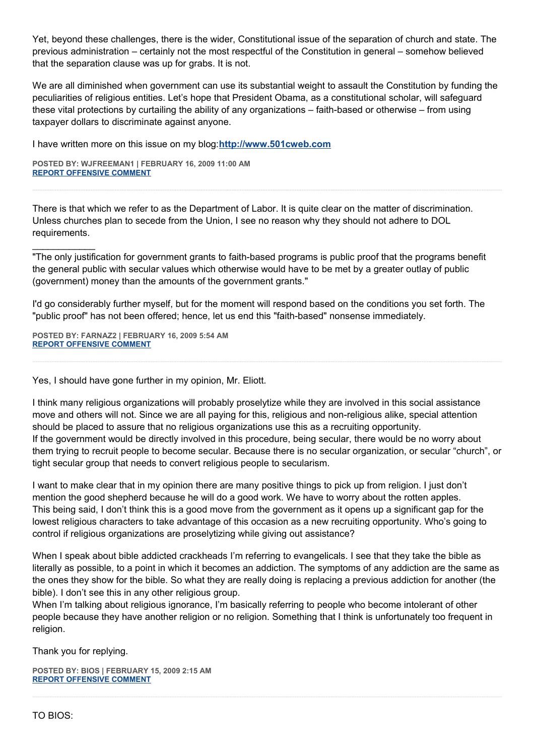Yet, beyond these challenges, there is the wider, Constitutional issue of the separation of church and state. The previous administration – certainly not the most respectful of the Constitution in general – somehow believed that the separation clause was up for grabs. It is not.

We are all diminished when government can use its substantial weight to assault the Constitution by funding the peculiarities of religious entities. Let's hope that President Obama, as a constitutional scholar, will safeguard these vital protections by curtailing the ability of any organizations – faith-based or otherwise – from using taxpayer dollars to discriminate against anyone.

I have written more on this issue on my blog:**[http://www.501cweb.com](http://www.501cweb.com/)**

**POSTED BY: WJFREEMAN1 | FEBRUARY 16, 2009 11:00 AM [REPORT OFFENSIVE COMMENT](mailto:blogs@washingtonpost.com?subject=On%20Faith%20Panelists%20Blog%20%20%7C%20%20wjfreeman1%20%20%7C%20%20Faith-Based%20Hiring,%20No%20Faith-Based%20Serving%20%20%7C%20%204600975&body=%0D%0D%0D%0D%0D================%0D?__mode=view%26_type=comment%26id=4600975%26blog_id=618)**

There is that which we refer to as the Department of Labor. It is quite clear on the matter of discrimination. Unless churches plan to secede from the Union, I see no reason why they should not adhere to DOL requirements.

"The only justification for government grants to faith-based programs is public proof that the programs benefit the general public with secular values which otherwise would have to be met by a greater outlay of public (government) money than the amounts of the government grants."

I'd go considerably further myself, but for the moment will respond based on the conditions you set forth. The "public proof" has not been offered; hence, let us end this "faith-based" nonsense immediately.

**POSTED BY: FARNAZ2 | FEBRUARY 16, 2009 5:54 AM [REPORT OFFENSIVE COMMENT](mailto:blogs@washingtonpost.com?subject=On%20Faith%20Panelists%20Blog%20%20%7C%20%20Farnaz2%20%20%7C%20%20Faith-Based%20Hiring,%20No%20Faith-Based%20Serving%20%20%7C%20%204600864&body=%0D%0D%0D%0D%0D================%0D?__mode=view%26_type=comment%26id=4600864%26blog_id=618)**

 $\mathcal{L}_\text{max}$ 

Yes, I should have gone further in my opinion, Mr. Eliott.

I think many religious organizations will probably proselytize while they are involved in this social assistance move and others will not. Since we are all paying for this, religious and non-religious alike, special attention should be placed to assure that no religious organizations use this as a recruiting opportunity. If the government would be directly involved in this procedure, being secular, there would be no worry about them trying to recruit people to become secular. Because there is no secular organization, or secular "church", or tight secular group that needs to convert religious people to secularism.

I want to make clear that in my opinion there are many positive things to pick up from religion. I just don't mention the good shepherd because he will do a good work. We have to worry about the rotten apples. This being said, I don't think this is a good move from the government as it opens up a significant gap for the lowest religious characters to take advantage of this occasion as a new recruiting opportunity. Who's going to control if religious organizations are proselytizing while giving out assistance?

When I speak about bible addicted crackheads I'm referring to evangelicals. I see that they take the bible as literally as possible, to a point in which it becomes an addiction. The symptoms of any addiction are the same as the ones they show for the bible. So what they are really doing is replacing a previous addiction for another (the bible). I don't see this in any other religious group.

When I'm talking about religious ignorance, I'm basically referring to people who become intolerant of other people because they have another religion or no religion. Something that I think is unfortunately too frequent in religion.

Thank you for replying.

**POSTED BY: BIOS | FEBRUARY 15, 2009 2:15 AM [REPORT OFFENSIVE COMMENT](mailto:blogs@washingtonpost.com?subject=On%20Faith%20Panelists%20Blog%20%20%7C%20%20Bios%20%20%7C%20%20Faith-Based%20Hiring,%20No%20Faith-Based%20Serving%20%20%7C%20%204600520&body=%0D%0D%0D%0D%0D================%0D?__mode=view%26_type=comment%26id=4600520%26blog_id=618)**

TO BIOS: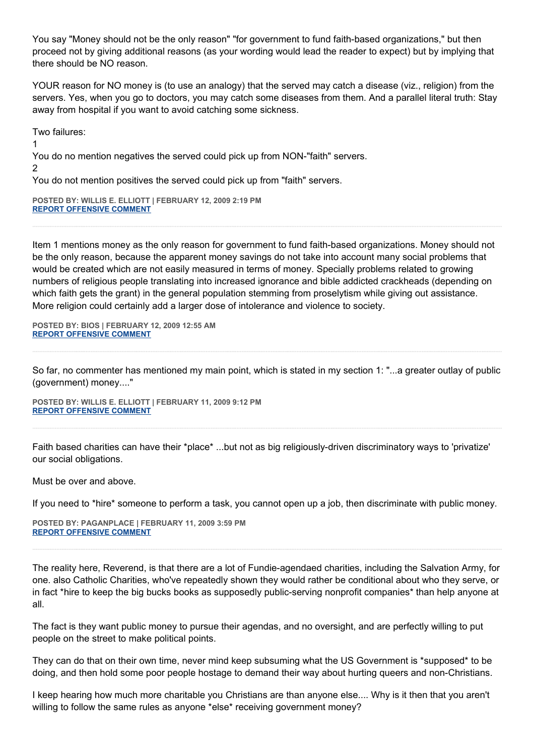You say "Money should not be the only reason" "for government to fund faith-based organizations," but then proceed not by giving additional reasons (as your wording would lead the reader to expect) but by implying that there should be NO reason.

YOUR reason for NO money is (to use an analogy) that the served may catch a disease (viz., religion) from the servers. Yes, when you go to doctors, you may catch some diseases from them. And a parallel literal truth: Stay away from hospital if you want to avoid catching some sickness.

Two failures:

1

You do no mention negatives the served could pick up from NON-"faith" servers. 2

You do not mention positives the served could pick up from "faith" servers.

**POSTED BY: WILLIS E. ELLIOTT | FEBRUARY 12, 2009 2:19 PM [REPORT OFFENSIVE COMMENT](mailto:blogs@washingtonpost.com?subject=On%20Faith%20Panelists%20Blog%20%20%7C%20%20Willis%20E.%20Elliott%20%20%7C%20%20Faith-Based%20Hiring,%20No%20Faith-Based%20Serving%20%20%7C%20%204600004&body=%0D%0D%0D%0D%0D================%0D?__mode=view%26_type=comment%26id=4600004%26blog_id=618)**

Item 1 mentions money as the only reason for government to fund faith-based organizations. Money should not be the only reason, because the apparent money savings do not take into account many social problems that would be created which are not easily measured in terms of money. Specially problems related to growing numbers of religious people translating into increased ignorance and bible addicted crackheads (depending on which faith gets the grant) in the general population stemming from proselytism while giving out assistance. More religion could certainly add a larger dose of intolerance and violence to society.

**POSTED BY: BIOS | FEBRUARY 12, 2009 12:55 AM [REPORT OFFENSIVE COMMENT](mailto:blogs@washingtonpost.com?subject=On%20Faith%20Panelists%20Blog%20%20%7C%20%20Bios%20%20%7C%20%20Faith-Based%20Hiring,%20No%20Faith-Based%20Serving%20%20%7C%20%204599757&body=%0D%0D%0D%0D%0D================%0D?__mode=view%26_type=comment%26id=4599757%26blog_id=618)**

So far, no commenter has mentioned my main point, which is stated in my section 1: "...a greater outlay of public (government) money...."

**POSTED BY: WILLIS E. ELLIOTT | FEBRUARY 11, 2009 9:12 PM [REPORT OFFENSIVE COMMENT](mailto:blogs@washingtonpost.com?subject=On%20Faith%20Panelists%20Blog%20%20%7C%20%20Willis%20E.%20Elliott%20%20%7C%20%20Faith-Based%20Hiring,%20No%20Faith-Based%20Serving%20%20%7C%20%204599691&body=%0D%0D%0D%0D%0D================%0D?__mode=view%26_type=comment%26id=4599691%26blog_id=618)**

Faith based charities can have their \*place\* ...but not as big religiously-driven discriminatory ways to 'privatize' our social obligations.

Must be over and above.

If you need to \*hire\* someone to perform a task, you cannot open up a job, then discriminate with public money.

**POSTED BY: PAGANPLACE | FEBRUARY 11, 2009 3:59 PM [REPORT OFFENSIVE COMMENT](mailto:blogs@washingtonpost.com?subject=On%20Faith%20Panelists%20Blog%20%20%7C%20%20Paganplace%20%20%7C%20%20Faith-Based%20Hiring,%20No%20Faith-Based%20Serving%20%20%7C%20%204599556&body=%0D%0D%0D%0D%0D================%0D?__mode=view%26_type=comment%26id=4599556%26blog_id=618)**

The reality here, Reverend, is that there are a lot of Fundie-agendaed charities, including the Salvation Army, for one. also Catholic Charities, who've repeatedly shown they would rather be conditional about who they serve, or in fact \*hire to keep the big bucks books as supposedly public-serving nonprofit companies\* than help anyone at all.

The fact is they want public money to pursue their agendas, and no oversight, and are perfectly willing to put people on the street to make political points.

They can do that on their own time, never mind keep subsuming what the US Government is \*supposed\* to be doing, and then hold some poor people hostage to demand their way about hurting queers and non-Christians.

I keep hearing how much more charitable you Christians are than anyone else.... Why is it then that you aren't willing to follow the same rules as anyone \*else\* receiving government money?